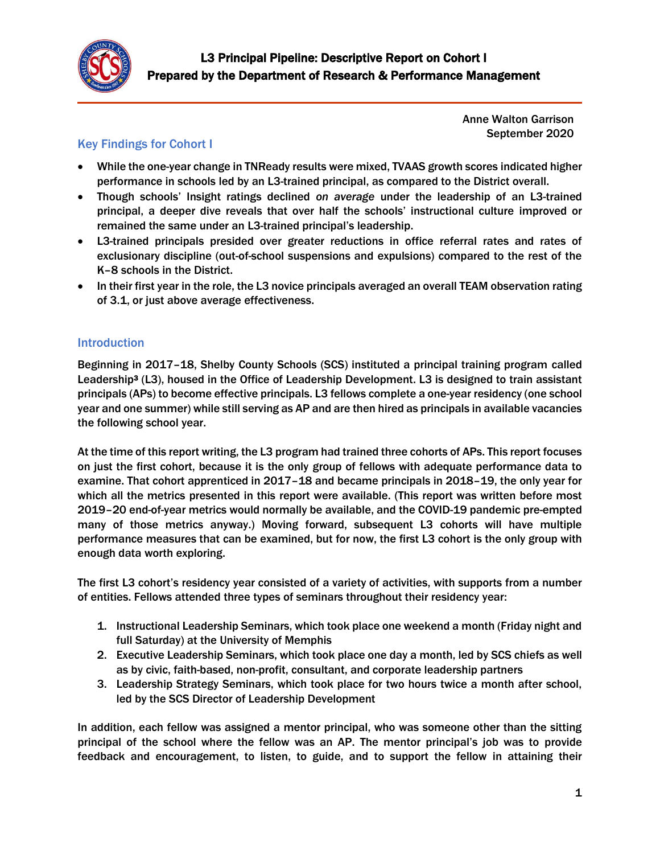

Anne Walton Garrison September 2020

# Key Findings for Cohort I

- While the one-year change in TNReady results were mixed, TVAAS growth scores indicated higher performance in schools led by an L3-trained principal, as compared to the District overall.
- Though schools' Insight ratings declined *on average* under the leadership of an L3-trained principal, a deeper dive reveals that over half the schools' instructional culture improved or remained the same under an L3-trained principal's leadership.
- L3-trained principals presided over greater reductions in office referral rates and rates of exclusionary discipline (out-of-school suspensions and expulsions) compared to the rest of the K–8 schools in the District.
- In their first year in the role, the L3 novice principals averaged an overall TEAM observation rating of 3.1, or just above average effectiveness.

## Introduction

Beginning in 2017–18, Shelby County Schools (SCS) instituted a principal training program called Leadership<sup>3</sup> (L3), housed in the Office of Leadership Development. L3 is designed to train assistant principals (APs) to become effective principals. L3 fellows complete a one-year residency (one school year and one summer) while still serving as AP and are then hired as principals in available vacancies the following school year.

At the time of this report writing, the L3 program had trained three cohorts of APs. This report focuses on just the first cohort, because it is the only group of fellows with adequate performance data to examine. That cohort apprenticed in 2017–18 and became principals in 2018–19, the only year for which all the metrics presented in this report were available. (This report was written before most 2019–20 end-of-year metrics would normally be available, and the COVID-19 pandemic pre-empted many of those metrics anyway.) Moving forward, subsequent L3 cohorts will have multiple performance measures that can be examined, but for now, the first L3 cohort is the only group with enough data worth exploring.

The first L3 cohort's residency year consisted of a variety of activities, with supports from a number of entities. Fellows attended three types of seminars throughout their residency year:

- 1. Instructional Leadership Seminars, which took place one weekend a month (Friday night and full Saturday) at the University of Memphis
- 2. Executive Leadership Seminars, which took place one day a month, led by SCS chiefs as well as by civic, faith-based, non-profit, consultant, and corporate leadership partners
- 3. Leadership Strategy Seminars, which took place for two hours twice a month after school, led by the SCS Director of Leadership Development

In addition, each fellow was assigned a mentor principal, who was someone other than the sitting principal of the school where the fellow was an AP. The mentor principal's job was to provide feedback and encouragement, to listen, to guide, and to support the fellow in attaining their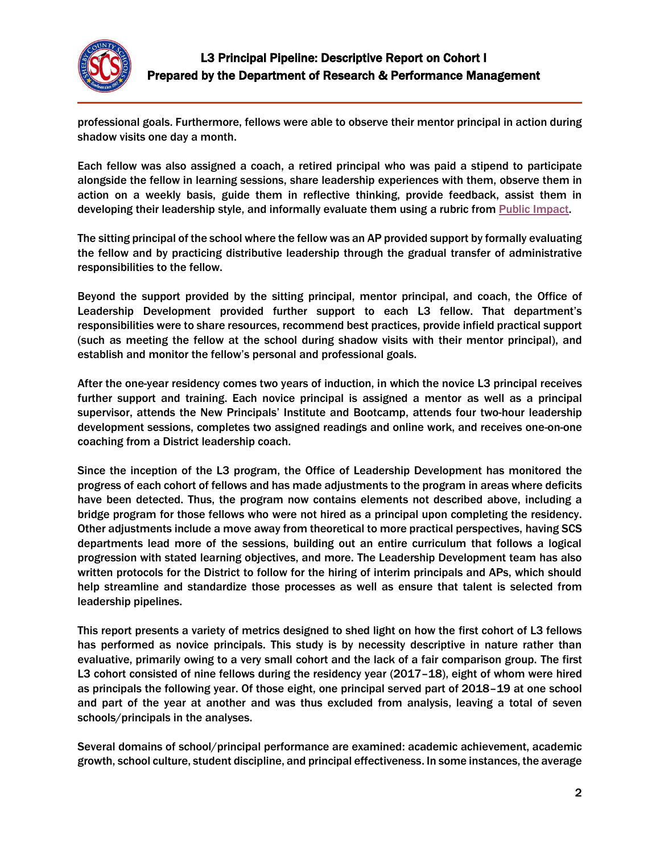

professional goals. Furthermore, fellows were able to observe their mentor principal in action during shadow visits one day a month.

Each fellow was also assigned a coach, a retired principal who was paid a stipend to participate alongside the fellow in learning sessions, share leadership experiences with them, observe them in action on a weekly basis, guide them in reflective thinking, provide feedback, assist them in developing their leadership style, and informally evaluate them using a rubric from [Public Impact.](https://publicimpact.com/)

The sitting principal of the school where the fellow was an AP provided support by formally evaluating the fellow and by practicing distributive leadership through the gradual transfer of administrative responsibilities to the fellow.

Beyond the support provided by the sitting principal, mentor principal, and coach, the Office of Leadership Development provided further support to each L3 fellow. That department's responsibilities were to share resources, recommend best practices, provide infield practical support (such as meeting the fellow at the school during shadow visits with their mentor principal), and establish and monitor the fellow's personal and professional goals.

After the one-year residency comes two years of induction, in which the novice L3 principal receives further support and training. Each novice principal is assigned a mentor as well as a principal supervisor, attends the New Principals' Institute and Bootcamp, attends four two-hour leadership development sessions, completes two assigned readings and online work, and receives one-on-one coaching from a District leadership coach.

Since the inception of the L3 program, the Office of Leadership Development has monitored the progress of each cohort of fellows and has made adjustments to the program in areas where deficits have been detected. Thus, the program now contains elements not described above, including a bridge program for those fellows who were not hired as a principal upon completing the residency. Other adjustments include a move away from theoretical to more practical perspectives, having SCS departments lead more of the sessions, building out an entire curriculum that follows a logical progression with stated learning objectives, and more. The Leadership Development team has also written protocols for the District to follow for the hiring of interim principals and APs, which should help streamline and standardize those processes as well as ensure that talent is selected from leadership pipelines.

This report presents a variety of metrics designed to shed light on how the first cohort of L3 fellows has performed as novice principals. This study is by necessity descriptive in nature rather than evaluative, primarily owing to a very small cohort and the lack of a fair comparison group. The first L3 cohort consisted of nine fellows during the residency year (2017–18), eight of whom were hired as principals the following year. Of those eight, one principal served part of 2018–19 at one school and part of the year at another and was thus excluded from analysis, leaving a total of seven schools/principals in the analyses.

Several domains of school/principal performance are examined: academic achievement, academic growth, school culture, student discipline, and principal effectiveness. In some instances, the average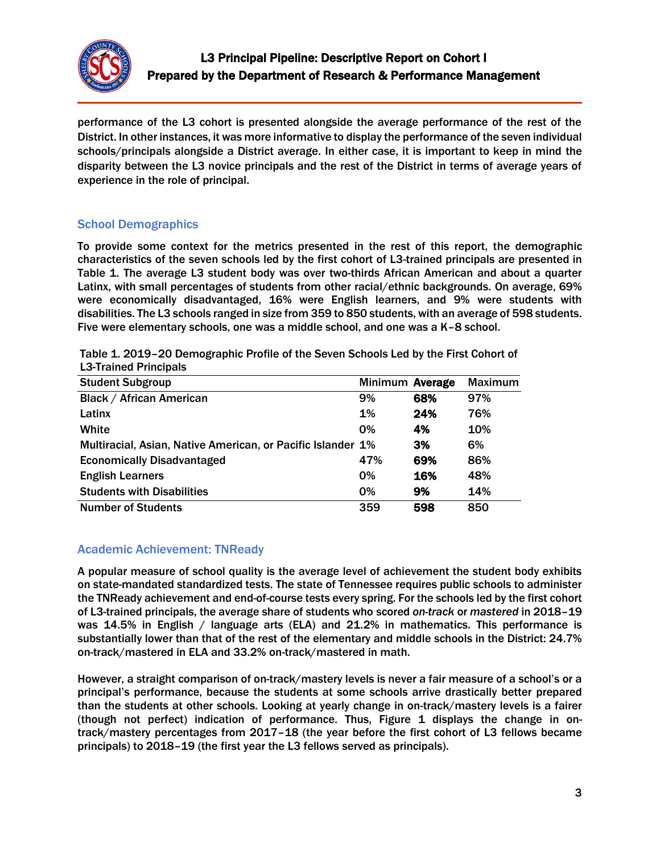

performance of the L3 cohort is presented alongside the average performance of the rest of the District. In other instances, it was more informative to display the performance of the seven individual schools/principals alongside a District average. In either case, it is important to keep in mind the disparity between the L3 novice principals and the rest of the District in terms of average years of experience in the role of principal.

### School Demographics

To provide some context for the metrics presented in the rest of this report, the demographic characteristics of the seven schools led by the first cohort of L3-trained principals are presented in Table 1. The average L3 student body was over two-thirds African American and about a quarter Latinx, with small percentages of students from other racial/ethnic backgrounds. On average, 69% were economically disadvantaged, 16% were English learners, and 9% were students with disabilities. The L3 schools ranged in size from 359 to 850 students, with an average of 598 students. Five were elementary schools, one was a middle school, and one was a K–8 school.

Table 1. 2019–20 Demographic Profile of the Seven Schools Led by the First Cohort of L3-Trained Principals

| <b>Student Subgroup</b>                                     | Minimum Average |     | <b>Maximum</b> |
|-------------------------------------------------------------|-----------------|-----|----------------|
| <b>Black / African American</b>                             | 9%              | 68% | 97%            |
| Latinx                                                      | $1\%$           | 24% | 76%            |
| White                                                       | 0%              | 4%  | 10%            |
| Multiracial, Asian, Native American, or Pacific Islander 1% |                 | 3%  | 6%             |
| <b>Economically Disadvantaged</b>                           | 47%             | 69% | 86%            |
| <b>English Learners</b>                                     | $0\%$           | 16% | 48%            |
| <b>Students with Disabilities</b>                           | 0%              | 9%  | 14%            |
| <b>Number of Students</b>                                   | 359             | 598 | 850            |

## Academic Achievement: TNReady

A popular measure of school quality is the average level of achievement the student body exhibits on state-mandated standardized tests. The state of Tennessee requires public schools to administer the TNReady achievement and end-of-course tests every spring. For the schools led by the first cohort of L3-trained principals, the average share of students who scored *on-track* or *mastered* in 2018–19 was 14.5% in English / language arts (ELA) and 21.2% in mathematics. This performance is substantially lower than that of the rest of the elementary and middle schools in the District: 24.7% on-track/mastered in ELA and 33.2% on-track/mastered in math.

However, a straight comparison of on-track/mastery levels is never a fair measure of a school's or a principal's performance, because the students at some schools arrive drastically better prepared than the students at other schools. Looking at yearly change in on-track/mastery levels is a fairer (though not perfect) indication of performance. Thus, Figure 1 displays the change in ontrack/mastery percentages from 2017–18 (the year before the first cohort of L3 fellows became principals) to 2018–19 (the first year the L3 fellows served as principals).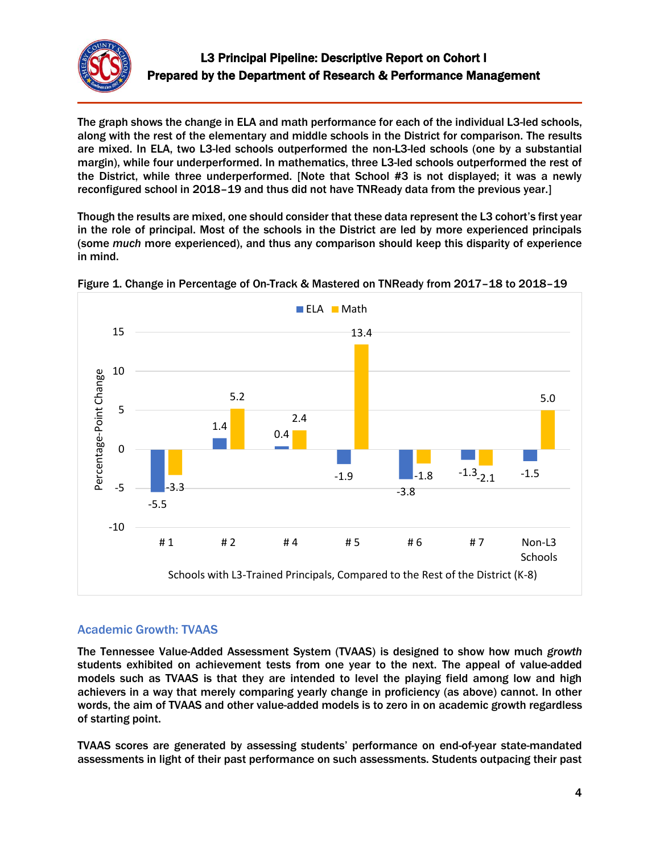

The graph shows the change in ELA and math performance for each of the individual L3-led schools, along with the rest of the elementary and middle schools in the District for comparison. The results are mixed. In ELA, two L3-led schools outperformed the non-L3-led schools (one by a substantial margin), while four underperformed. In mathematics, three L3-led schools outperformed the rest of the District, while three underperformed. [Note that School #3 is not displayed; it was a newly reconfigured school in 2018–19 and thus did not have TNReady data from the previous year.]

Though the results are mixed, one should consider that these data represent the L3 cohort's first year in the role of principal. Most of the schools in the District are led by more experienced principals (some *much* more experienced), and thus any comparison should keep this disparity of experience in mind.



Figure 1. Change in Percentage of On-Track & Mastered on TNReady from 2017–18 to 2018–19

## Academic Growth: TVAAS

The Tennessee Value-Added Assessment System (TVAAS) is designed to show how much *growth* students exhibited on achievement tests from one year to the next. The appeal of value-added models such as TVAAS is that they are intended to level the playing field among low and high achievers in a way that merely comparing yearly change in proficiency (as above) cannot. In other words, the aim of TVAAS and other value-added models is to zero in on academic growth regardless of starting point.

TVAAS scores are generated by assessing students' performance on end-of-year state-mandated assessments in light of their past performance on such assessments. Students outpacing their past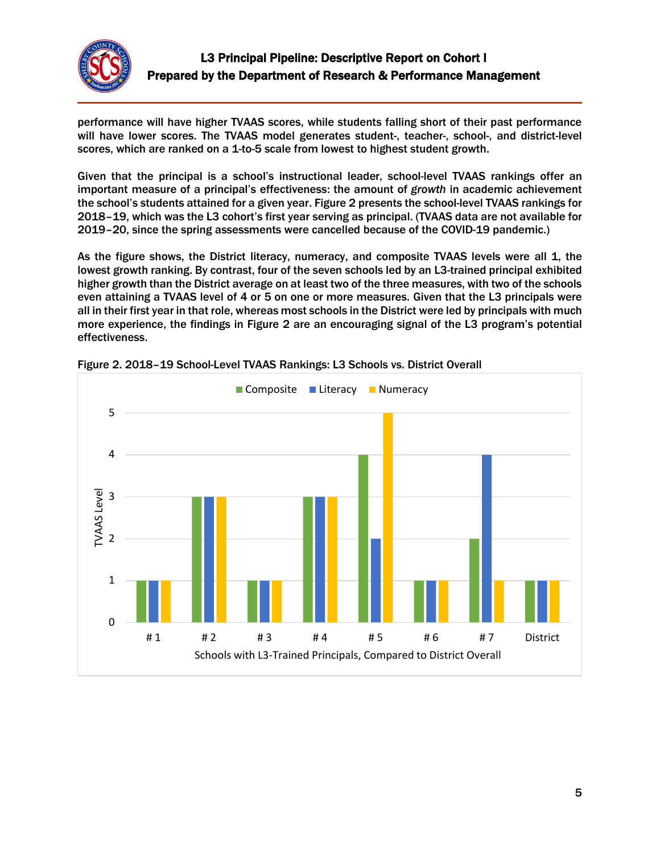

performance will have higher TVAAS scores, while students falling short of their past performance will have lower scores. The TVAAS model generates student-, teacher-, school-, and district-level scores, which are ranked on a 1-to-5 scale from lowest to highest student growth.

Given that the principal is a school's instructional leader, school-level TVAAS rankings offer an important measure of a principal's effectiveness: the amount of *growth* in academic achievement the school's students attained for a given year. Figure 2 presents the school-level TVAAS rankings for 2018–19, which was the L3 cohort's first year serving as principal. (TVAAS data are not available for 2019–20, since the spring assessments were cancelled because of the COVID-19 pandemic.)

As the figure shows, the District literacy, numeracy, and composite TVAAS levels were all 1, the lowest growth ranking. By contrast, four of the seven schools led by an L3-trained principal exhibited higher growth than the District average on at least two of the three measures, with two of the schools even attaining a TVAAS level of 4 or 5 on one or more measures. Given that the L3 principals were all in their first year in that role, whereas most schools in the District were led by principals with much more experience, the findings in Figure 2 are an encouraging signal of the L3 program's potential effectiveness.



Figure 2. 2018–19 School-Level TVAAS Rankings: L3 Schools vs. District Overall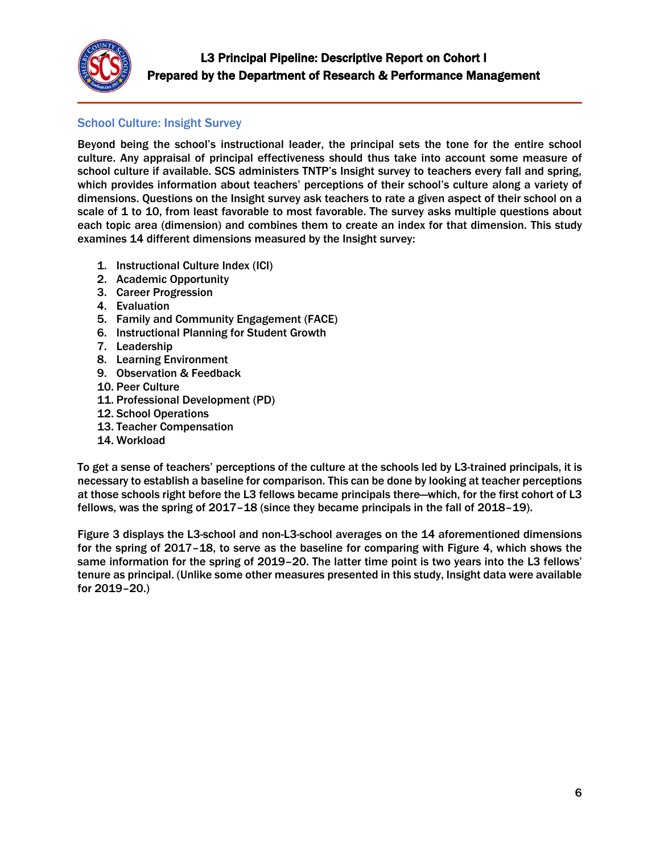

### School Culture: Insight Survey

Beyond being the school's instructional leader, the principal sets the tone for the entire school culture. Any appraisal of principal effectiveness should thus take into account some measure of school culture if available. SCS administers TNTP's Insight survey to teachers every fall and spring, which provides information about teachers' perceptions of their school's culture along a variety of dimensions. Questions on the Insight survey ask teachers to rate a given aspect of their school on a scale of 1 to 10, from least favorable to most favorable. The survey asks multiple questions about each topic area (dimension) and combines them to create an index for that dimension. This study examines 14 different dimensions measured by the Insight survey:

- 1. Instructional Culture Index (ICI)
- 2. Academic Opportunity
- 3. Career Progression
- 4. Evaluation
- 5. Family and Community Engagement (FACE)
- 6. Instructional Planning for Student Growth
- 7. Leadership
- 8. Learning Environment
- 9. Observation & Feedback
- 10. Peer Culture
- 11. Professional Development (PD)
- 12. School Operations
- 13. Teacher Compensation
- 14. Workload

To get a sense of teachers' perceptions of the culture at the schools led by L3-trained principals, it is necessary to establish a baseline for comparison. This can be done by looking at teacher perceptions at those schools right before the L3 fellows became principals there—which, for the first cohort of L3 fellows, was the spring of 2017–18 (since they became principals in the fall of 2018–19).

Figure 3 displays the L3-school and non-L3-school averages on the 14 aforementioned dimensions for the spring of 2017–18, to serve as the baseline for comparing with Figure 4, which shows the same information for the spring of 2019–20. The latter time point is two years into the L3 fellows' tenure as principal. (Unlike some other measures presented in this study, Insight data were available for 2019–20.)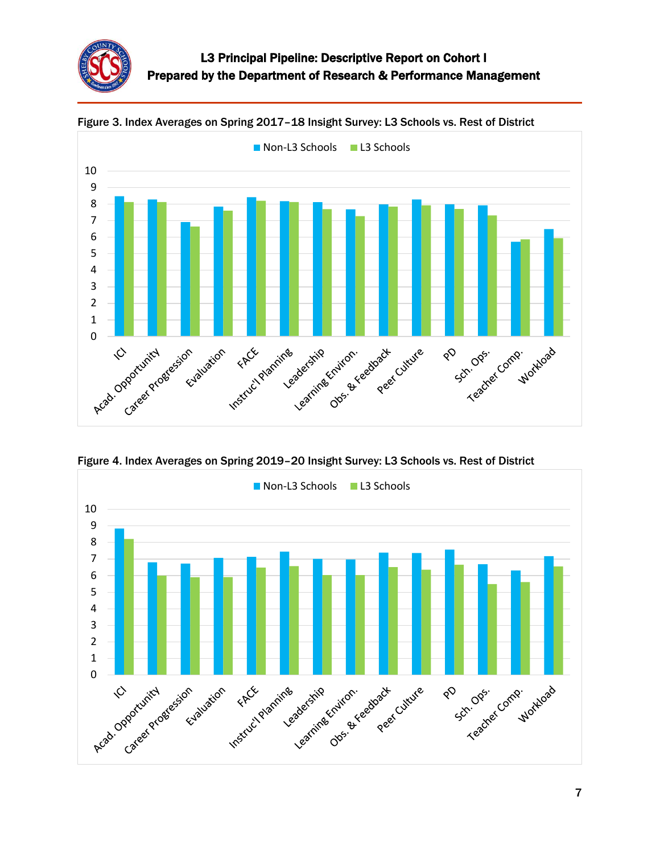



Figure 3. Index Averages on Spring 2017–18 Insight Survey: L3 Schools vs. Rest of District

Figure 4. Index Averages on Spring 2019–20 Insight Survey: L3 Schools vs. Rest of District

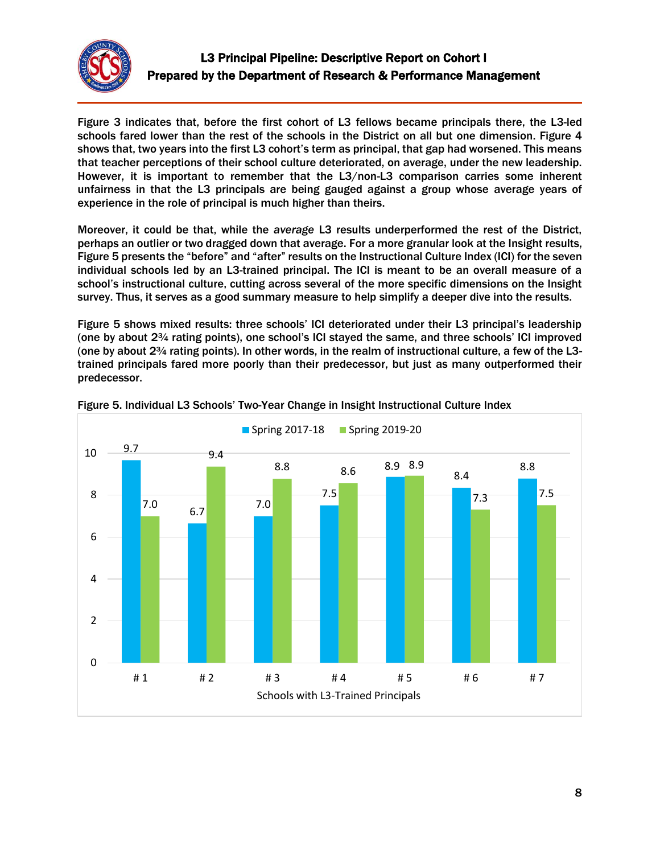

Figure 3 indicates that, before the first cohort of L3 fellows became principals there, the L3-led schools fared lower than the rest of the schools in the District on all but one dimension. Figure 4 shows that, two years into the first L3 cohort's term as principal, that gap had worsened. This means that teacher perceptions of their school culture deteriorated, on average, under the new leadership. However, it is important to remember that the L3/non-L3 comparison carries some inherent unfairness in that the L3 principals are being gauged against a group whose average years of experience in the role of principal is much higher than theirs.

Moreover, it could be that, while the *average* L3 results underperformed the rest of the District, perhaps an outlier or two dragged down that average. For a more granular look at the Insight results, Figure 5 presents the "before" and "after" results on the Instructional Culture Index (ICI) for the seven individual schools led by an L3-trained principal. The ICI is meant to be an overall measure of a school's instructional culture, cutting across several of the more specific dimensions on the Insight survey. Thus, it serves as a good summary measure to help simplify a deeper dive into the results.

Figure 5 shows mixed results: three schools' ICI deteriorated under their L3 principal's leadership (one by about 2¾ rating points), one school's ICI stayed the same, and three schools' ICI improved (one by about 2¾ rating points). In other words, in the realm of instructional culture, a few of the L3 trained principals fared more poorly than their predecessor, but just as many outperformed their predecessor.



#### Figure 5. Individual L3 Schools' Two-Year Change in Insight Instructional Culture Index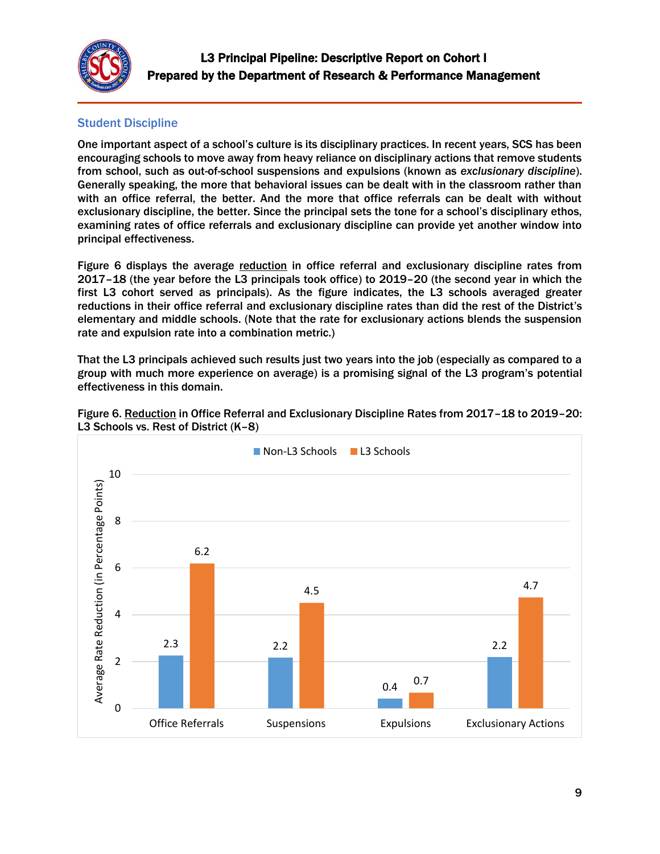

# Student Discipline

One important aspect of a school's culture is its disciplinary practices. In recent years, SCS has been encouraging schools to move away from heavy reliance on disciplinary actions that remove students from school, such as out-of-school suspensions and expulsions (known as *exclusionary discipline*). Generally speaking, the more that behavioral issues can be dealt with in the classroom rather than with an office referral, the better. And the more that office referrals can be dealt with without exclusionary discipline, the better. Since the principal sets the tone for a school's disciplinary ethos, examining rates of office referrals and exclusionary discipline can provide yet another window into principal effectiveness.

Figure 6 displays the average reduction in office referral and exclusionary discipline rates from 2017–18 (the year before the L3 principals took office) to 2019–20 (the second year in which the first L3 cohort served as principals). As the figure indicates, the L3 schools averaged greater reductions in their office referral and exclusionary discipline rates than did the rest of the District's elementary and middle schools. (Note that the rate for exclusionary actions blends the suspension rate and expulsion rate into a combination metric.)

That the L3 principals achieved such results just two years into the job (especially as compared to a group with much more experience on average) is a promising signal of the L3 program's potential effectiveness in this domain.



Figure 6. Reduction in Office Referral and Exclusionary Discipline Rates from 2017-18 to 2019-20: L3 Schools vs. Rest of District (K–8)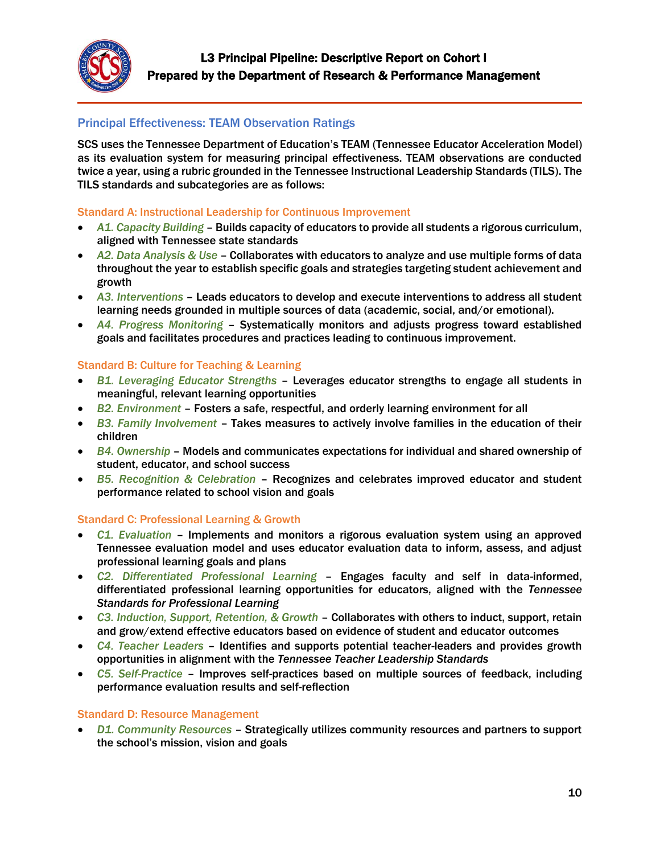

### Principal Effectiveness: TEAM Observation Ratings

SCS uses the Tennessee Department of Education's TEAM (Tennessee Educator Acceleration Model) as its evaluation system for measuring principal effectiveness. TEAM observations are conducted twice a year, using a rubric grounded in the Tennessee Instructional Leadership Standards (TILS). The TILS standards and subcategories are as follows:

#### Standard A: Instructional Leadership for Continuous Improvement

- *A1. Capacity Building* Builds capacity of educators to provide all students a rigorous curriculum, aligned with Tennessee state standards
- *A2. Data Analysis & Use* Collaborates with educators to analyze and use multiple forms of data throughout the year to establish specific goals and strategies targeting student achievement and growth
- *A3. Interventions* Leads educators to develop and execute interventions to address all student learning needs grounded in multiple sources of data (academic, social, and/or emotional).
- *A4. Progress Monitoring* Systematically monitors and adjusts progress toward established goals and facilitates procedures and practices leading to continuous improvement.

#### Standard B: Culture for Teaching & Learning

- *B1. Leveraging Educator Strengths* Leverages educator strengths to engage all students in meaningful, relevant learning opportunities
- *B2. Environment* Fosters a safe, respectful, and orderly learning environment for all
- *B3. Family Involvement* Takes measures to actively involve families in the education of their children
- *B4. Ownership* Models and communicates expectations for individual and shared ownership of student, educator, and school success
- *B5. Recognition & Celebration* Recognizes and celebrates improved educator and student performance related to school vision and goals

#### Standard C: Professional Learning & Growth

- *C1. Evaluation* Implements and monitors a rigorous evaluation system using an approved Tennessee evaluation model and uses educator evaluation data to inform, assess, and adjust professional learning goals and plans
- *C2. Differentiated Professional Learning* Engages faculty and self in data-informed, differentiated professional learning opportunities for educators, aligned with the *Tennessee Standards for Professional Learning*
- *C3. Induction, Support, Retention, & Growth* Collaborates with others to induct, support, retain and grow/extend effective educators based on evidence of student and educator outcomes
- *C4. Teacher Leaders* Identifies and supports potential teacher-leaders and provides growth opportunities in alignment with the *Tennessee Teacher Leadership Standards*
- *C5. Self-Practice* Improves self-practices based on multiple sources of feedback, including performance evaluation results and self-reflection

#### Standard D: Resource Management

 *D1. Community Resources* – Strategically utilizes community resources and partners to support the school's mission, vision and goals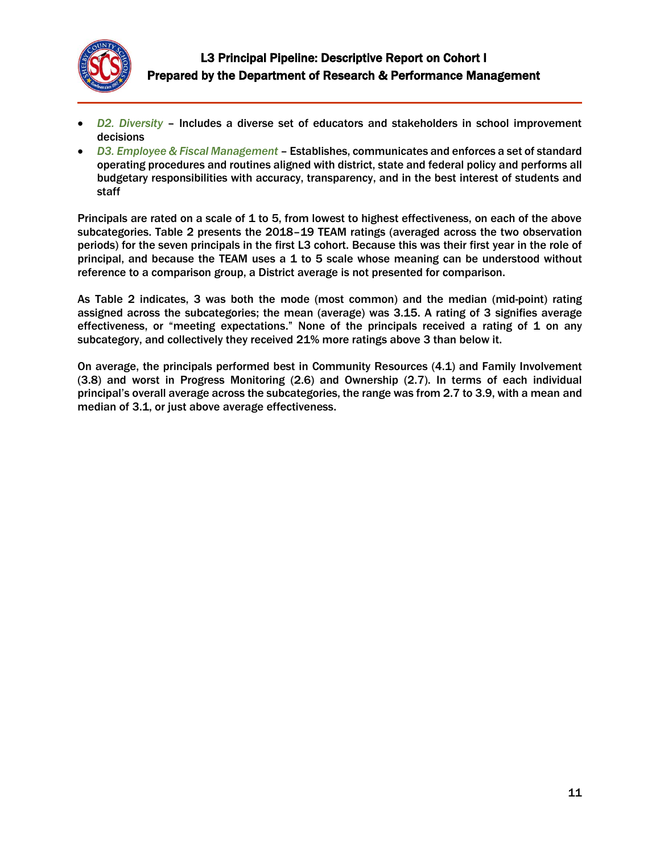

- *D2. Diversity* Includes a diverse set of educators and stakeholders in school improvement decisions
- *D3. Employee & Fiscal Management* Establishes, communicates and enforces a set of standard operating procedures and routines aligned with district, state and federal policy and performs all budgetary responsibilities with accuracy, transparency, and in the best interest of students and staff

Principals are rated on a scale of 1 to 5, from lowest to highest effectiveness, on each of the above subcategories. Table 2 presents the 2018–19 TEAM ratings (averaged across the two observation periods) for the seven principals in the first L3 cohort. Because this was their first year in the role of principal, and because the TEAM uses a 1 to 5 scale whose meaning can be understood without reference to a comparison group, a District average is not presented for comparison.

As Table 2 indicates, 3 was both the mode (most common) and the median (mid-point) rating assigned across the subcategories; the mean (average) was 3.15. A rating of 3 signifies average effectiveness, or "meeting expectations." None of the principals received a rating of 1 on any subcategory, and collectively they received 21% more ratings above 3 than below it.

On average, the principals performed best in Community Resources (4.1) and Family Involvement (3.8) and worst in Progress Monitoring (2.6) and Ownership (2.7). In terms of each individual principal's overall average across the subcategories, the range was from 2.7 to 3.9, with a mean and median of 3.1, or just above average effectiveness.